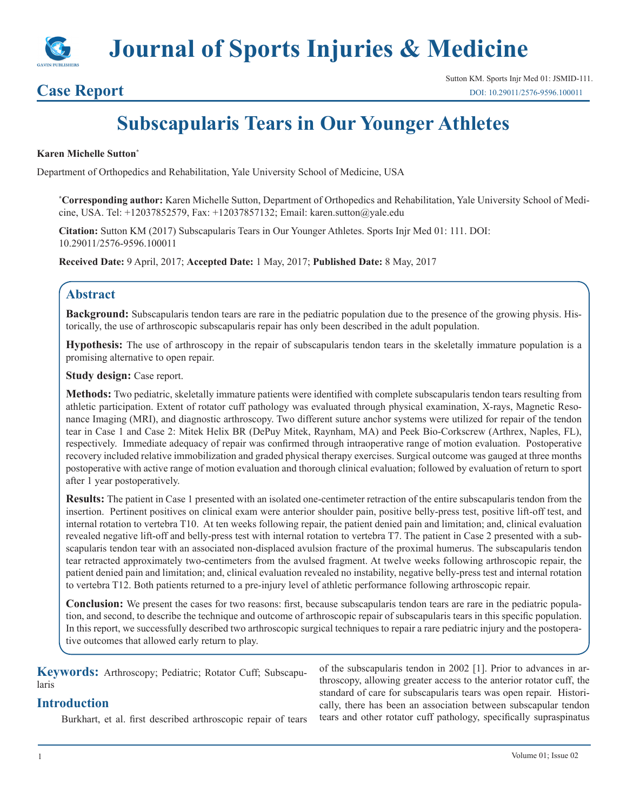

# **Case Report**

# **Subscapularis Tears in Our Younger Athletes**

#### **Karen Michelle Sutton\***

Department of Orthopedics and Rehabilitation, Yale University School of Medicine, USA

**\* Corresponding author:** Karen Michelle Sutton, Department of Orthopedics and Rehabilitation, Yale University School of Medicine, USA. Tel: +12037852579, Fax: +12037857132; Email: karen.sutton@yale.edu

**Citation:** Sutton KM (2017) Subscapularis Tears in Our Younger Athletes. Sports Injr Med 01: 111. DOI: 10.29011/2576-9596.100011

**Received Date:** 9 April, 2017; **Accepted Date:** 1 May, 2017; **Published Date:** 8 May, 2017

### **Abstract**

**Background:** Subscapularis tendon tears are rare in the pediatric population due to the presence of the growing physis. Historically, the use of arthroscopic subscapularis repair has only been described in the adult population.

**Hypothesis:** The use of arthroscopy in the repair of subscapularis tendon tears in the skeletally immature population is a promising alternative to open repair.

**Study design:** Case report.

**Methods:** Two pediatric, skeletally immature patients were identified with complete subscapularis tendon tears resulting from athletic participation. Extent of rotator cuff pathology was evaluated through physical examination, X-rays, Magnetic Resonance Imaging (MRI), and diagnostic arthroscopy. Two different suture anchor systems were utilized for repair of the tendon tear in Case 1 and Case 2: Mitek Helix BR (DePuy Mitek, Raynham, MA) and Peek Bio-Corkscrew (Arthrex, Naples, FL), respectively. Immediate adequacy of repair was confirmed through intraoperative range of motion evaluation. Postoperative recovery included relative immobilization and graded physical therapy exercises. Surgical outcome was gauged at three months postoperative with active range of motion evaluation and thorough clinical evaluation; followed by evaluation of return to sport after 1 year postoperatively.

**Results:** The patient in Case 1 presented with an isolated one-centimeter retraction of the entire subscapularis tendon from the insertion. Pertinent positives on clinical exam were anterior shoulder pain, positive belly-press test, positive lift-off test, and internal rotation to vertebra T10. At ten weeks following repair, the patient denied pain and limitation; and, clinical evaluation revealed negative lift-off and belly-press test with internal rotation to vertebra T7. The patient in Case 2 presented with a subscapularis tendon tear with an associated non-displaced avulsion fracture of the proximal humerus. The subscapularis tendon tear retracted approximately two-centimeters from the avulsed fragment. At twelve weeks following arthroscopic repair, the patient denied pain and limitation; and, clinical evaluation revealed no instability, negative belly-press test and internal rotation to vertebra T12. Both patients returned to a pre-injury level of athletic performance following arthroscopic repair.

**Conclusion:** We present the cases for two reasons: first, because subscapularis tendon tears are rare in the pediatric population, and second, to describe the technique and outcome of arthroscopic repair of subscapularis tears in this specific population. In this report, we successfully described two arthroscopic surgical techniques to repair a rare pediatric injury and the postoperative outcomes that allowed early return to play.

**Keywords:** Arthroscopy; Pediatric; Rotator Cuff; Subscapularis

## **Introduction**

Burkhart, et al. first described arthroscopic repair of tears

of the subscapularis tendon in 2002 [1]. Prior to advances in arthroscopy, allowing greater access to the anterior rotator cuff, the standard of care for subscapularis tears was open repair. Historically, there has been an association between subscapular tendon tears and other rotator cuff pathology, specifically supraspinatus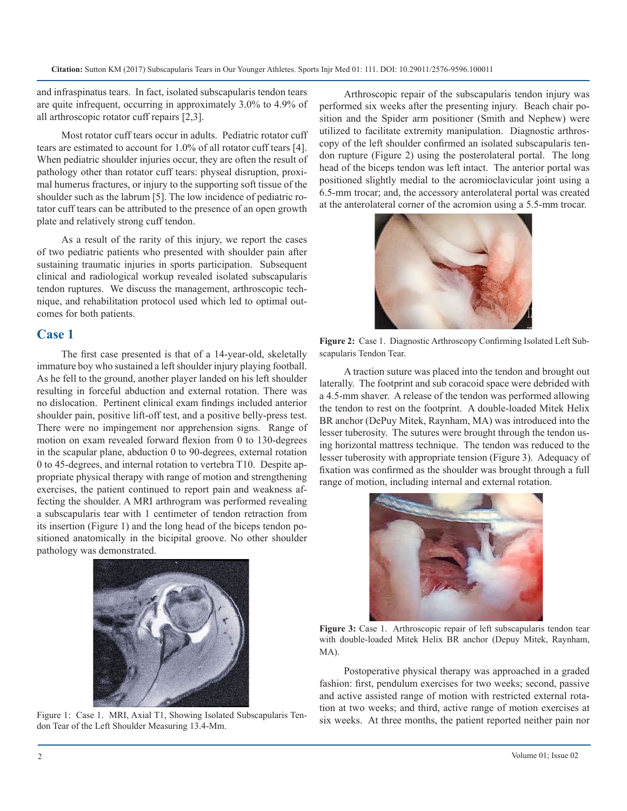and infraspinatus tears. In fact, isolated subscapularis tendon tears are quite infrequent, occurring in approximately 3.0% to 4.9% of all arthroscopic rotator cuff repairs [2,3].

Most rotator cuff tears occur in adults. Pediatric rotator cuff tears are estimated to account for 1.0% of all rotator cuff tears [4]. When pediatric shoulder injuries occur, they are often the result of pathology other than rotator cuff tears: physeal disruption, proximal humerus fractures, or injury to the supporting soft tissue of the shoulder such as the labrum [5]. The low incidence of pediatric rotator cuff tears can be attributed to the presence of an open growth plate and relatively strong cuff tendon.

As a result of the rarity of this injury, we report the cases of two pediatric patients who presented with shoulder pain after sustaining traumatic injuries in sports participation. Subsequent clinical and radiological workup revealed isolated subscapularis tendon ruptures. We discuss the management, arthroscopic technique, and rehabilitation protocol used which led to optimal outcomes for both patients.

#### **Case 1**

The first case presented is that of a 14-year-old, skeletally immature boy who sustained a left shoulder injury playing football. As he fell to the ground, another player landed on his left shoulder resulting in forceful abduction and external rotation. There was no dislocation. Pertinent clinical exam findings included anterior shoulder pain, positive lift-off test, and a positive belly-press test. There were no impingement nor apprehension signs. Range of motion on exam revealed forward flexion from 0 to 130-degrees in the scapular plane, abduction 0 to 90-degrees, external rotation 0 to 45-degrees, and internal rotation to vertebra T10. Despite appropriate physical therapy with range of motion and strengthening exercises, the patient continued to report pain and weakness affecting the shoulder. A MRI arthrogram was performed revealing a subscapularis tear with 1 centimeter of tendon retraction from its insertion (Figure 1) and the long head of the biceps tendon positioned anatomically in the bicipital groove. No other shoulder pathology was demonstrated.



Figure 1: Case 1. MRI, Axial T1, Showing Isolated Subscapularis Tendon Tear of the Left Shoulder Measuring 13.4-Mm.

Arthroscopic repair of the subscapularis tendon injury was performed six weeks after the presenting injury. Beach chair position and the Spider arm positioner (Smith and Nephew) were utilized to facilitate extremity manipulation. Diagnostic arthroscopy of the left shoulder confirmed an isolated subscapularis tendon rupture (Figure 2) using the posterolateral portal. The long head of the biceps tendon was left intact. The anterior portal was positioned slightly medial to the acromioclavicular joint using a 6.5-mm trocar; and, the accessory anterolateral portal was created at the anterolateral corner of the acromion using a 5.5-mm trocar.



**Figure 2:** Case 1. Diagnostic Arthroscopy Confirming Isolated Left Subscapularis Tendon Tear.

A traction suture was placed into the tendon and brought out laterally. The footprint and sub coracoid space were debrided with a 4.5-mm shaver. A release of the tendon was performed allowing the tendon to rest on the footprint. A double-loaded Mitek Helix BR anchor (DePuy Mitek, Raynham, MA) was introduced into the lesser tuberosity. The sutures were brought through the tendon using horizontal mattress technique. The tendon was reduced to the lesser tuberosity with appropriate tension (Figure 3). Adequacy of fixation was confirmed as the shoulder was brought through a full range of motion, including internal and external rotation.



**Figure 3:** Case 1. Arthroscopic repair of left subscapularis tendon tear with double-loaded Mitek Helix BR anchor (Depuy Mitek, Raynham, MA).

Postoperative physical therapy was approached in a graded fashion: first, pendulum exercises for two weeks; second, passive and active assisted range of motion with restricted external rotation at two weeks; and third, active range of motion exercises at six weeks. At three months, the patient reported neither pain nor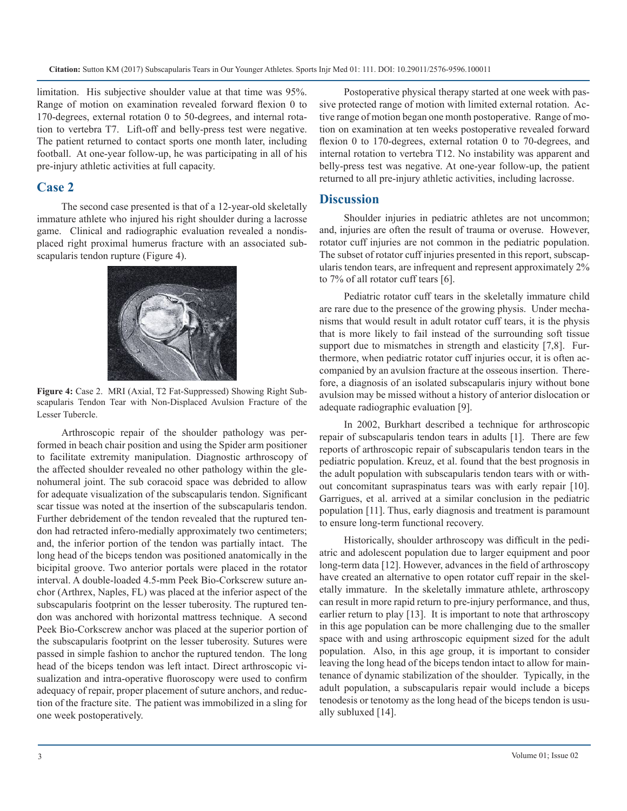limitation. His subjective shoulder value at that time was 95%. Range of motion on examination revealed forward flexion 0 to 170-degrees, external rotation 0 to 50-degrees, and internal rotation to vertebra T7. Lift-off and belly-press test were negative. The patient returned to contact sports one month later, including football. At one-year follow-up, he was participating in all of his pre-injury athletic activities at full capacity.

#### **Case 2**

The second case presented is that of a 12-year-old skeletally immature athlete who injured his right shoulder during a lacrosse game. Clinical and radiographic evaluation revealed a nondisplaced right proximal humerus fracture with an associated subscapularis tendon rupture (Figure 4).



**Figure 4:** Case 2. MRI (Axial, T2 Fat-Suppressed) Showing Right Subscapularis Tendon Tear with Non-Displaced Avulsion Fracture of the Lesser Tubercle.

Arthroscopic repair of the shoulder pathology was performed in beach chair position and using the Spider arm positioner to facilitate extremity manipulation. Diagnostic arthroscopy of the affected shoulder revealed no other pathology within the glenohumeral joint. The sub coracoid space was debrided to allow for adequate visualization of the subscapularis tendon. Significant scar tissue was noted at the insertion of the subscapularis tendon. Further debridement of the tendon revealed that the ruptured tendon had retracted infero-medially approximately two centimeters; and, the inferior portion of the tendon was partially intact. The long head of the biceps tendon was positioned anatomically in the bicipital groove. Two anterior portals were placed in the rotator interval. A double-loaded 4.5-mm Peek Bio-Corkscrew suture anchor (Arthrex, Naples, FL) was placed at the inferior aspect of the subscapularis footprint on the lesser tuberosity. The ruptured tendon was anchored with horizontal mattress technique. A second Peek Bio-Corkscrew anchor was placed at the superior portion of the subscapularis footprint on the lesser tuberosity. Sutures were passed in simple fashion to anchor the ruptured tendon. The long head of the biceps tendon was left intact. Direct arthroscopic visualization and intra-operative fluoroscopy were used to confirm adequacy of repair, proper placement of suture anchors, and reduction of the fracture site. The patient was immobilized in a sling for one week postoperatively.

Postoperative physical therapy started at one week with passive protected range of motion with limited external rotation. Active range of motion began one month postoperative. Range of motion on examination at ten weeks postoperative revealed forward flexion 0 to 170-degrees, external rotation 0 to 70-degrees, and internal rotation to vertebra T12. No instability was apparent and belly-press test was negative. At one-year follow-up, the patient returned to all pre-injury athletic activities, including lacrosse.

#### **Discussion**

Shoulder injuries in pediatric athletes are not uncommon; and, injuries are often the result of trauma or overuse. However, rotator cuff injuries are not common in the pediatric population. The subset of rotator cuff injuries presented in this report, subscapularis tendon tears, are infrequent and represent approximately 2% to 7% of all rotator cuff tears [6].

Pediatric rotator cuff tears in the skeletally immature child are rare due to the presence of the growing physis. Under mechanisms that would result in adult rotator cuff tears, it is the physis that is more likely to fail instead of the surrounding soft tissue support due to mismatches in strength and elasticity [7,8]. Furthermore, when pediatric rotator cuff injuries occur, it is often accompanied by an avulsion fracture at the osseous insertion. Therefore, a diagnosis of an isolated subscapularis injury without bone avulsion may be missed without a history of anterior dislocation or adequate radiographic evaluation [9].

In 2002, Burkhart described a technique for arthroscopic repair of subscapularis tendon tears in adults [1]. There are few reports of arthroscopic repair of subscapularis tendon tears in the pediatric population. Kreuz, et al. found that the best prognosis in the adult population with subscapularis tendon tears with or without concomitant supraspinatus tears was with early repair [10]. Garrigues, et al. arrived at a similar conclusion in the pediatric population [11]. Thus, early diagnosis and treatment is paramount to ensure long-term functional recovery.

Historically, shoulder arthroscopy was difficult in the pediatric and adolescent population due to larger equipment and poor long-term data [12]. However, advances in the field of arthroscopy have created an alternative to open rotator cuff repair in the skeletally immature. In the skeletally immature athlete, arthroscopy can result in more rapid return to pre-injury performance, and thus, earlier return to play [13]. It is important to note that arthroscopy in this age population can be more challenging due to the smaller space with and using arthroscopic equipment sized for the adult population. Also, in this age group, it is important to consider leaving the long head of the biceps tendon intact to allow for maintenance of dynamic stabilization of the shoulder. Typically, in the adult population, a subscapularis repair would include a biceps tenodesis or tenotomy as the long head of the biceps tendon is usually subluxed [14].